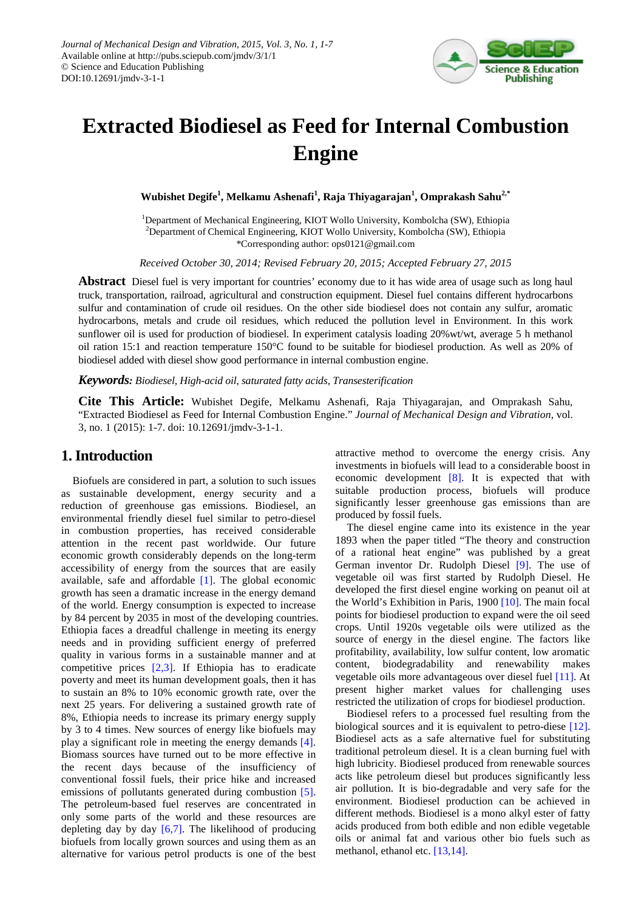

# **Extracted Biodiesel as Feed for Internal Combustion Engine**

**Wubishet Degife<sup>1</sup> , Melkamu Ashenafi<sup>1</sup> , Raja Thiyagarajan1 , Omprakash Sahu2,\***

<sup>1</sup>Department of Mechanical Engineering, KIOT Wollo University, Kombolcha (SW), Ethiopia 2 Department of Chemical Engineering, KIOT Wollo University, Kombolcha (SW), Ethiopia \*Corresponding author: ops0121@gmail.com

*Received October 30, 2014; Revised February 20, 2015; Accepted February 27, 2015*

**Abstract** Diesel fuel is very important for countries' economy due to it has wide area of usage such as long haul truck, transportation, railroad, agricultural and construction equipment. Diesel fuel contains different hydrocarbons sulfur and contamination of crude oil residues. On the other side biodiesel does not contain any sulfur, aromatic hydrocarbons, metals and crude oil residues, which reduced the pollution level in Environment. In this work sunflower oil is used for production of biodiesel. In experiment catalysis loading 20%wt/wt, average 5 h methanol oil ration 15:1 and reaction temperature 150°C found to be suitable for biodiesel production. As well as 20% of biodiesel added with diesel show good performance in internal combustion engine.

*Keywords: Biodiesel, High-acid oil, saturated fatty acids, Transesterification*

**Cite This Article:** Wubishet Degife, Melkamu Ashenafi, Raja Thiyagarajan, and Omprakash Sahu, "Extracted Biodiesel as Feed for Internal Combustion Engine." *Journal of Mechanical Design and Vibration*, vol. 3, no. 1 (2015): 1-7. doi: 10.12691/jmdv-3-1-1.

# **1. Introduction**

Biofuels are considered in part, a solution to such issues as sustainable development, energy security and a reduction of greenhouse gas emissions. Biodiesel, an environmental friendly diesel fuel similar to petro-diesel in combustion properties, has received considerable attention in the recent past worldwide. Our future economic growth considerably depends on the long-term accessibility of energy from the sources that are easily available, safe and affordable [\[1\].](#page-5-0) The global economic growth has seen a dramatic increase in the energy demand of the world. Energy consumption is expected to increase by 84 percent by 2035 in most of the developing countries. Ethiopia faces a dreadful challenge in meeting its energy needs and in providing sufficient energy of preferred quality in various forms in a sustainable manner and at competitive prices [\[2,3\].](#page-5-1) If Ethiopia has to eradicate poverty and meet its human development goals, then it has to sustain an 8% to 10% economic growth rate, over the next 25 years. For delivering a sustained growth rate of 8%, Ethiopia needs to increase its primary energy supply by 3 to 4 times. New sources of energy like biofuels may play a significant role in meeting the energy demands [\[4\].](#page-5-2) Biomass sources have turned out to be more effective in the recent days because of the insufficiency of conventional fossil fuels, their price hike and increased emissions of pollutants generated during combustion [\[5\].](#page-5-3) The petroleum-based fuel reserves are concentrated in only some parts of the world and these resources are depleting day by day  $[6,7]$ . The likelihood of producing biofuels from locally grown sources and using them as an alternative for various petrol products is one of the best

attractive method to overcome the energy crisis. Any investments in biofuels will lead to a considerable boost in economic development [\[8\].](#page-5-5) It is expected that with suitable production process, biofuels will produce significantly lesser greenhouse gas emissions than are produced by fossil fuels.

The diesel engine came into its existence in the year 1893 when the paper titled "The theory and construction of a rational heat engine" was published by a great German inventor Dr. Rudolph Diesel [\[9\].](#page-5-6) The use of vegetable oil was first started by Rudolph Diesel. He developed the first diesel engine working on peanut oil at the World's Exhibition in Paris, 1900 [\[10\].](#page-5-7) The main focal points for biodiesel production to expand were the oil seed crops. Until 1920s vegetable oils were utilized as the source of energy in the diesel engine. The factors like profitability, availability, low sulfur content, low aromatic content, biodegradability and renewability makes vegetable oils more advantageous over diesel fuel [\[11\].](#page-5-8) At present higher market values for challenging uses restricted the utilization of crops for biodiesel production.

Biodiesel refers to a processed fuel resulting from the biological sources and it is equivalent to petro-diese [\[12\].](#page-6-0) Biodiesel acts as a safe alternative fuel for substituting traditional petroleum diesel. It is a clean burning fuel with high lubricity. Biodiesel produced from renewable sources acts like petroleum diesel but produces significantly less air pollution. It is bio-degradable and very safe for the environment. Biodiesel production can be achieved in different methods. Biodiesel is a mono alkyl ester of fatty acids produced from both edible and non edible vegetable oils or animal fat and various other bio fuels such as methanol, ethanol etc. [\[13,14\].](#page-6-1)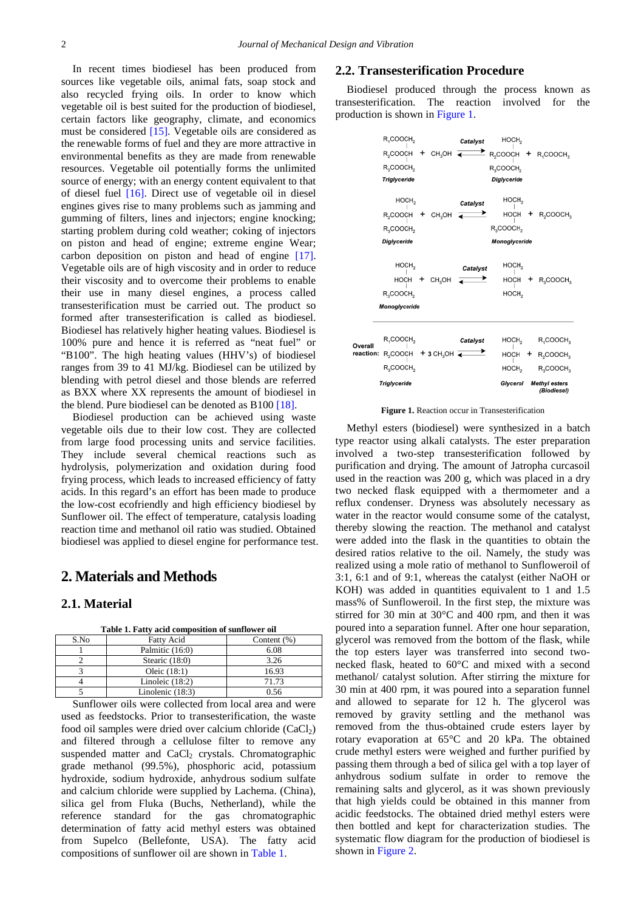In recent times biodiesel has been produced from sources like vegetable oils, animal fats, soap stock and also recycled frying oils. In order to know which vegetable oil is best suited for the production of biodiesel, certain factors like geography, climate, and economics must be considered [\[15\].](#page-6-2) Vegetable oils are considered as the renewable forms of fuel and they are more attractive in environmental benefits as they are made from renewable resources. Vegetable oil potentially forms the unlimited source of energy; with an energy content equivalent to that of diesel fuel [\[16\].](#page-6-3) Direct use of vegetable oil in diesel engines gives rise to many problems such as jamming and gumming of filters, lines and injectors; engine knocking; starting problem during cold weather; coking of injectors on piston and head of engine; extreme engine Wear; carbon deposition on piston and head of engine [\[17\].](#page-6-4) Vegetable oils are of high viscosity and in order to reduce their viscosity and to overcome their problems to enable their use in many diesel engines, a process called transesterification must be carried out. The product so formed after transesterification is called as biodiesel. Biodiesel has relatively higher heating values. Biodiesel is 100% pure and hence it is referred as "neat fuel" or "B100". The high heating values (HHV's) of biodiesel ranges from 39 to 41 MJ/kg. Biodiesel can be utilized by blending with petrol diesel and those blends are referred as BXX where XX represents the amount of biodiesel in the blend. Pure biodiesel can be denoted as B100 [\[18\].](#page-6-5)

Biodiesel production can be achieved using waste vegetable oils due to their low cost. They are collected from large food processing units and service facilities. They include several chemical reactions such as hydrolysis, polymerization and oxidation during food frying process, which leads to increased efficiency of fatty acids. In this regard's an effort has been made to produce the low-cost ecofriendly and high efficiency biodiesel by Sunflower oil. The effect of temperature, catalysis loading reaction time and methanol oil ratio was studied. Obtained biodiesel was applied to diesel engine for performance test.

# **2. Materials and Methods**

## **2.1. Material**

<span id="page-1-0"></span>

| Table 1. Patty acid composition of sumfower on |                    |                |  |  |
|------------------------------------------------|--------------------|----------------|--|--|
| S.No                                           | <b>Fatty Acid</b>  | Content $(\%)$ |  |  |
|                                                | Palmitic (16:0)    | 6.08           |  |  |
|                                                | Stearic $(18:0)$   | 3.26           |  |  |
|                                                | Oleic $(18:1)$     | 16.93          |  |  |
|                                                | Linoleic $(18:2)$  | 71.73          |  |  |
|                                                | Linolenic $(18:3)$ | 0.56           |  |  |

**Table 1. Fatty acid composition of sunflower oil**

Sunflower oils were collected from local area and were used as feedstocks. Prior to transesterification, the waste food oil samples were dried over calcium chloride  $(CaCl<sub>2</sub>)$ and filtered through a cellulose filter to remove any suspended matter and  $CaCl<sub>2</sub>$  crystals. Chromatographic grade methanol (99.5%), phosphoric acid, potassium hydroxide, sodium hydroxide, anhydrous sodium sulfate and calcium chloride were supplied by Lachema. (China), silica gel from Fluka (Buchs, Netherland), while the reference standard for the gas chromatographic determination of fatty acid methyl esters was obtained from Supelco (Bellefonte, USA). The fatty acid compositions of sunflower oil are shown in [Table 1.](#page-1-0)

## **2.2. Transesterification Procedure**

Biodiesel produced through the process known as transesterification. The reaction involved for the production is shown in [Figure 1.](#page-1-1)

<span id="page-1-1"></span>

**Figure 1.** Reaction occur in Transesterification

Methyl esters (biodiesel) were synthesized in a batch type reactor using alkali catalysts. The ester preparation involved a two-step transesterification followed by purification and drying. The amount of Jatropha curcasoil used in the reaction was 200 g, which was placed in a dry two necked flask equipped with a thermometer and a reflux condenser. Dryness was absolutely necessary as water in the reactor would consume some of the catalyst, thereby slowing the reaction. The methanol and catalyst were added into the flask in the quantities to obtain the desired ratios relative to the oil. Namely, the study was realized using a mole ratio of methanol to Sunfloweroil of 3:1, 6:1 and of 9:1, whereas the catalyst (either NaOH or KOH) was added in quantities equivalent to 1 and 1.5 mass% of Sunfloweroil. In the first step, the mixture was stirred for 30 min at 30°C and 400 rpm, and then it was poured into a separation funnel. After one hour separation, glycerol was removed from the bottom of the flask, while the top esters layer was transferred into second twonecked flask, heated to 60°C and mixed with a second methanol/ catalyst solution. After stirring the mixture for 30 min at 400 rpm, it was poured into a separation funnel and allowed to separate for 12 h. The glycerol was removed by gravity settling and the methanol was removed from the thus-obtained crude esters layer by rotary evaporation at 65°C and 20 kPa. The obtained crude methyl esters were weighed and further purified by passing them through a bed of silica gel with a top layer of anhydrous sodium sulfate in order to remove the remaining salts and glycerol, as it was shown previously that high yields could be obtained in this manner from acidic feedstocks. The obtained dried methyl esters were then bottled and kept for characterization studies. The systematic flow diagram for the production of biodiesel is shown in [Figure 2.](#page-2-0)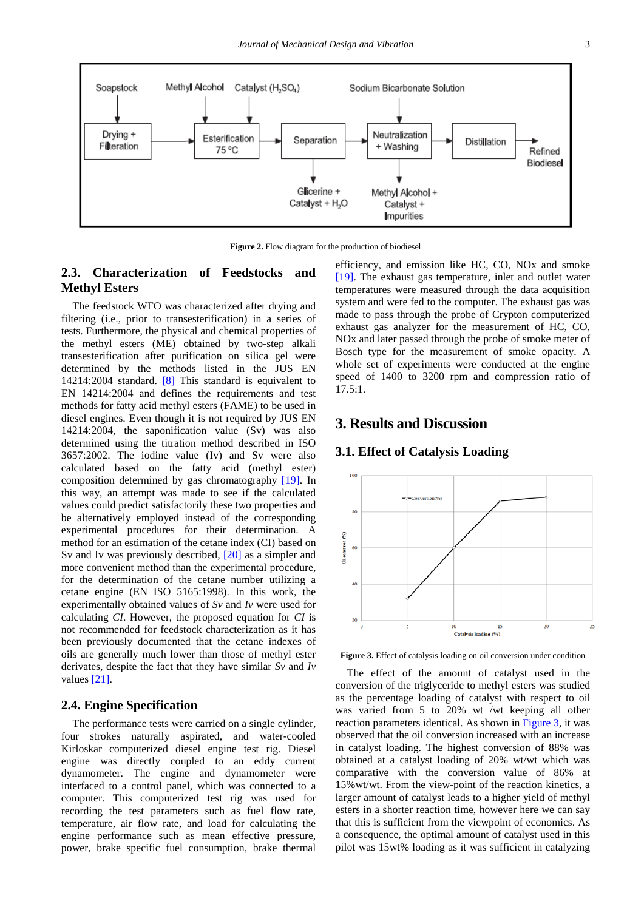<span id="page-2-0"></span>

**Figure 2.** Flow diagram for the production of biodiesel

# **2.3. Characterization of Feedstocks and Methyl Esters**

The feedstock WFO was characterized after drying and filtering (i.e., prior to transesterification) in a series of tests. Furthermore, the physical and chemical properties of the methyl esters (ME) obtained by two-step alkali transesterification after purification on silica gel were determined by the methods listed in the JUS EN 14214:2004 standard. [\[8\]](#page-5-5) This standard is equivalent to EN 14214:2004 and defines the requirements and test methods for fatty acid methyl esters (FAME) to be used in diesel engines. Even though it is not required by JUS EN 14214:2004, the saponification value (Sv) was also determined using the titration method described in ISO 3657:2002. The iodine value (Iv) and Sv were also calculated based on the fatty acid (methyl ester) composition determined by gas chromatography [\[19\].](#page-6-6) In this way, an attempt was made to see if the calculated values could predict satisfactorily these two properties and be alternatively employed instead of the corresponding experimental procedures for their determination. A method for an estimation of the cetane index (CI) based on Sv and Iv was previously described, [\[20\]](#page-6-7) as a simpler and more convenient method than the experimental procedure, for the determination of the cetane number utilizing a cetane engine (EN ISO 5165:1998). In this work, the experimentally obtained values of *Sv* and *Iv* were used for calculating *CI*. However, the proposed equation for *CI* is not recommended for feedstock characterization as it has been previously documented that the cetane indexes of oils are generally much lower than those of methyl ester derivates, despite the fact that they have similar *Sv* and *Iv*  values [\[21\].](#page-6-8)

# **2.4. Engine Specification**

The performance tests were carried on a single cylinder, four strokes naturally aspirated, and water-cooled Kirloskar computerized diesel engine test rig. Diesel engine was directly coupled to an eddy current dynamometer. The engine and dynamometer were interfaced to a control panel, which was connected to a computer. This computerized test rig was used for recording the test parameters such as fuel flow rate, temperature, air flow rate, and load for calculating the engine performance such as mean effective pressure, power, brake specific fuel consumption, brake thermal

efficiency, and emission like HC, CO, NOx and smoke [\[19\].](#page-6-6) The exhaust gas temperature, inlet and outlet water temperatures were measured through the data acquisition system and were fed to the computer. The exhaust gas was made to pass through the probe of Crypton computerized exhaust gas analyzer for the measurement of HC, CO, NOx and later passed through the probe of smoke meter of Bosch type for the measurement of smoke opacity. A whole set of experiments were conducted at the engine speed of 1400 to 3200 rpm and compression ratio of  $17.5:1.$ 

# **3. Results and Discussion**

## **3.1. Effect of Catalysis Loading**

<span id="page-2-1"></span>

**Figure 3.** Effect of catalysis loading on oil conversion under condition

The effect of the amount of catalyst used in the conversion of the triglyceride to methyl esters was studied as the percentage loading of catalyst with respect to oil was varied from 5 to 20% wt /wt keeping all other reaction parameters identical. As shown in [Figure 3,](#page-2-1) it was observed that the oil conversion increased with an increase in catalyst loading. The highest conversion of 88% was obtained at a catalyst loading of 20% wt/wt which was comparative with the conversion value of 86% at 15%wt/wt. From the view-point of the reaction kinetics, a larger amount of catalyst leads to a higher yield of methyl esters in a shorter reaction time, however here we can say that this is sufficient from the viewpoint of economics. As a consequence, the optimal amount of catalyst used in this pilot was 15wt% loading as it was sufficient in catalyzing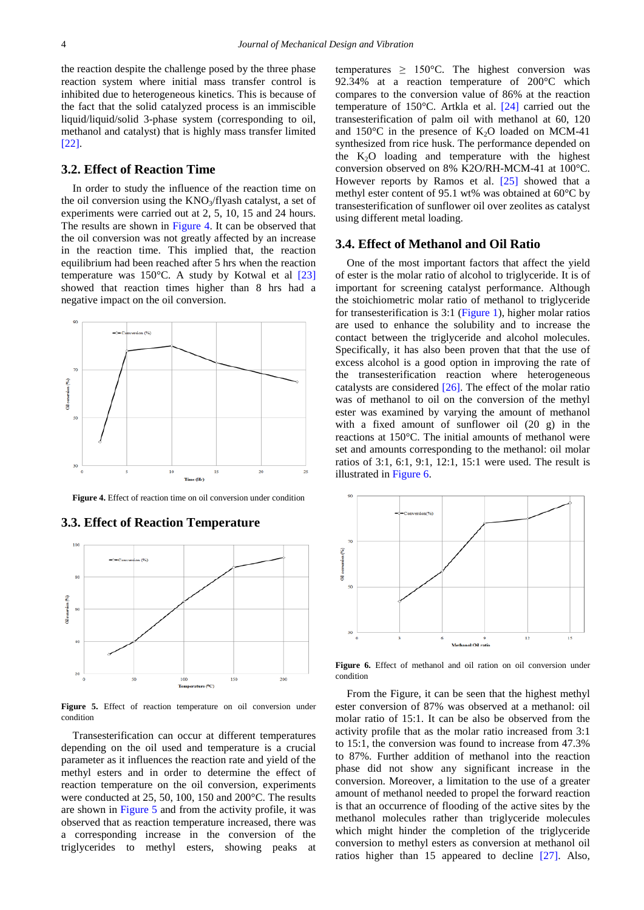the reaction despite the challenge posed by the three phase reaction system where initial mass transfer control is inhibited due to heterogeneous kinetics. This is because of the fact that the solid catalyzed process is an immiscible liquid/liquid/solid 3-phase system (corresponding to oil, methanol and catalyst) that is highly mass transfer limited [\[22\].](#page-6-9)

#### **3.2. Effect of Reaction Time**

In order to study the influence of the reaction time on the oil conversion using the  $KNO<sub>3</sub>/flyash$  catalyst, a set of experiments were carried out at 2, 5, 10, 15 and 24 hours. The results are shown in [Figure 4.](#page-3-0) It can be observed that the oil conversion was not greatly affected by an increase in the reaction time. This implied that, the reaction equilibrium had been reached after 5 hrs when the reaction temperature was 150°C. A study by Kotwal et al [\[23\]](#page-6-10) showed that reaction times higher than 8 hrs had a negative impact on the oil conversion.

<span id="page-3-0"></span>

**Figure 4.** Effect of reaction time on oil conversion under condition

<span id="page-3-1"></span>

#### **3.3. Effect of Reaction Temperature**

**Figure 5.** Effect of reaction temperature on oil conversion under condition

Transesterification can occur at different temperatures depending on the oil used and temperature is a crucial parameter as it influences the reaction rate and yield of the methyl esters and in order to determine the effect of reaction temperature on the oil conversion, experiments were conducted at 25, 50, 100, 150 and 200°C. The results are shown in [Figure 5](#page-3-1) and from the activity profile, it was observed that as reaction temperature increased, there was a corresponding increase in the conversion of the triglycerides to methyl esters, showing peaks at temperatures  $\geq 150^{\circ}$ C. The highest conversion was 92.34% at a reaction temperature of 200°C which compares to the conversion value of 86% at the reaction temperature of 150°C. Artkla et al. [\[24\]](#page-6-11) carried out the transesterification of palm oil with methanol at 60, 120 and  $150^{\circ}$ C in the presence of  $K_2O$  loaded on MCM-41 synthesized from rice husk. The performance depended on the  $K_2O$  loading and temperature with the highest conversion observed on 8% K2O/RH-MCM-41 at 100°C. However reports by Ramos et al.  $[25]$  showed that a methyl ester content of 95.1 wt% was obtained at 60°C by transesterification of sunflower oil over zeolites as catalyst using different metal loading.

#### **3.4. Effect of Methanol and Oil Ratio**

One of the most important factors that affect the yield of ester is the molar ratio of alcohol to triglyceride. It is of important for screening catalyst performance. Although the stoichiometric molar ratio of methanol to triglyceride for transesterification is 3:1 [\(Figure 1\)](#page-1-1), higher molar ratios are used to enhance the solubility and to increase the contact between the triglyceride and alcohol molecules. Specifically, it has also been proven that that the use of excess alcohol is a good option in improving the rate of the transesterification reaction where heterogeneous catalysts are considered [\[26\].](#page-6-13) The effect of the molar ratio was of methanol to oil on the conversion of the methyl ester was examined by varying the amount of methanol with a fixed amount of sunflower oil  $(20 \text{ g})$  in the reactions at 150°C. The initial amounts of methanol were set and amounts corresponding to the methanol: oil molar ratios of 3:1, 6:1, 9:1, 12:1, 15:1 were used. The result is illustrated in [Figure 6.](#page-3-2)

<span id="page-3-2"></span>

**Figure 6.** Effect of methanol and oil ration on oil conversion under condition

From the Figure, it can be seen that the highest methyl ester conversion of 87% was observed at a methanol: oil molar ratio of 15:1. It can be also be observed from the activity profile that as the molar ratio increased from 3:1 to 15:1, the conversion was found to increase from 47.3% to 87%. Further addition of methanol into the reaction phase did not show any significant increase in the conversion. Moreover, a limitation to the use of a greater amount of methanol needed to propel the forward reaction is that an occurrence of flooding of the active sites by the methanol molecules rather than triglyceride molecules which might hinder the completion of the triglyceride conversion to methyl esters as conversion at methanol oil ratios higher than 15 appeared to decline [\[27\].](#page-6-14) Also,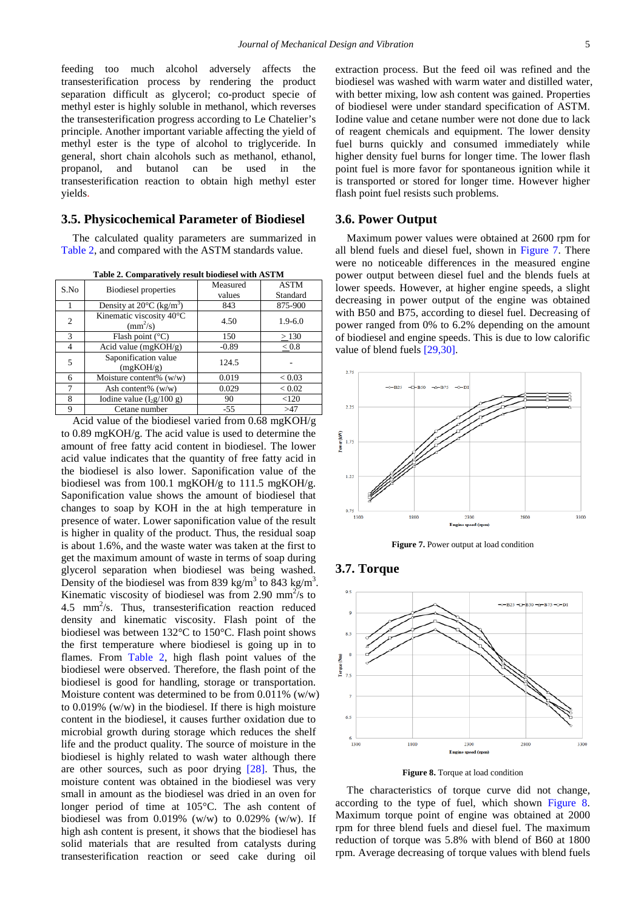feeding too much alcohol adversely affects the transesterification process by rendering the product separation difficult as glycerol; co-product specie of methyl ester is highly soluble in methanol, which reverses the transesterification progress according to Le Chatelier's principle. Another important variable affecting the yield of methyl ester is the type of alcohol to triglyceride. In general, short chain alcohols such as methanol, ethanol, propanol, and butanol can be used in the transesterification reaction to obtain high methyl ester yields.

## **3.5. Physicochemical Parameter of Biodiesel**

The calculated quality parameters are summarized in [Table 2,](#page-4-0) and compared with the ASTM standards value.

|  | Table 2. Comparatively result biodiesel with ASTM |  |
|--|---------------------------------------------------|--|
|  |                                                   |  |

<span id="page-4-0"></span>

| S.No           | <b>Biodiesel</b> properties                          | Measured<br>values | <b>ASTM</b><br>Standard |
|----------------|------------------------------------------------------|--------------------|-------------------------|
|                | Density at $20^{\circ}$ C (kg/m <sup>3</sup> )       | 843                | 875-900                 |
| $\overline{c}$ | Kinematic viscosity 40°C<br>$\text{(mm}^2\text{/s)}$ | 4.50               | $1.9 - 6.0$             |
| $\mathcal{F}$  | Flash point $(^{\circ}C)$                            | 150                | >130                    |
| 4              | Acid value $(mgKOH/g)$                               | $-0.89$            | < 0.8                   |
| 5              | Saponification value<br>(mgKOH/g)                    | 124.5              |                         |
| 6              | Moisture content% $(w/w)$                            | 0.019              | < 0.03                  |
|                | Ash content% $(w/w)$                                 | 0.029              | ${}_{< 0.02}$           |
| 8              | Iodine value $(I_2g/100 g)$                          | 90                 | < 120                   |
| 9              | Cetane number                                        | $-55$              | >47                     |

Acid value of the biodiesel varied from 0.68 mgKOH/g to 0.89 mgKOH/g. The acid value is used to determine the amount of free fatty acid content in biodiesel. The lower acid value indicates that the quantity of free fatty acid in the biodiesel is also lower. Saponification value of the biodiesel was from 100.1 mgKOH/g to 111.5 mgKOH/g. Saponification value shows the amount of biodiesel that changes to soap by KOH in the at high temperature in presence of water. Lower saponification value of the result is higher in quality of the product. Thus, the residual soap is about 1.6%, and the waste water was taken at the first to get the maximum amount of waste in terms of soap during glycerol separation when biodiesel was being washed. Density of the biodiesel was from 839 kg/m<sup>3</sup> to 843 kg/m<sup>3</sup>. Kinematic viscosity of biodiesel was from 2.90  $mm^2$ /s to 4.5 mm<sup>2</sup>/s. Thus, transesterification reaction reduced density and kinematic viscosity. Flash point of the biodiesel was between 132°C to 150°C. Flash point shows the first temperature where biodiesel is going up in to flames. From [Table 2,](#page-4-0) high flash point values of the biodiesel were observed. Therefore, the flash point of the biodiesel is good for handling, storage or transportation. Moisture content was determined to be from  $0.011\%$  (w/w) to 0.019% (w/w) in the biodiesel. If there is high moisture content in the biodiesel, it causes further oxidation due to microbial growth during storage which reduces the shelf life and the product quality. The source of moisture in the biodiesel is highly related to wash water although there are other sources, such as poor drying [\[28\].](#page-6-15) Thus, the moisture content was obtained in the biodiesel was very small in amount as the biodiesel was dried in an oven for longer period of time at 105°C. The ash content of biodiesel was from  $0.019\%$  (w/w) to  $0.029\%$  (w/w). If high ash content is present, it shows that the biodiesel has solid materials that are resulted from catalysts during transesterification reaction or seed cake during oil

extraction process. But the feed oil was refined and the biodiesel was washed with warm water and distilled water, with better mixing, low ash content was gained. Properties of biodiesel were under standard specification of ASTM. Iodine value and cetane number were not done due to lack of reagent chemicals and equipment. The lower density fuel burns quickly and consumed immediately while higher density fuel burns for longer time. The lower flash point fuel is more favor for spontaneous ignition while it is transported or stored for longer time. However higher flash point fuel resists such problems.

#### **3.6. Power Output**

Maximum power values were obtained at 2600 rpm for all blend fuels and diesel fuel, shown in [Figure 7.](#page-4-1) There were no noticeable differences in the measured engine power output between diesel fuel and the blends fuels at lower speeds. However, at higher engine speeds, a slight decreasing in power output of the engine was obtained with B50 and B75, according to diesel fuel. Decreasing of power ranged from 0% to 6.2% depending on the amount of biodiesel and engine speeds. This is due to low calorific value of blend fuels [\[29,30\].](#page-6-16)

<span id="page-4-1"></span>

**Figure 7.** Power output at load condition

## **3.7. Torque**

<span id="page-4-2"></span>

**Figure 8.** Torque at load condition

The characteristics of torque curve did not change, according to the type of fuel, which shown [Figure 8.](#page-4-2) Maximum torque point of engine was obtained at 2000 rpm for three blend fuels and diesel fuel. The maximum reduction of torque was 5.8% with blend of B60 at 1800 rpm. Average decreasing of torque values with blend fuels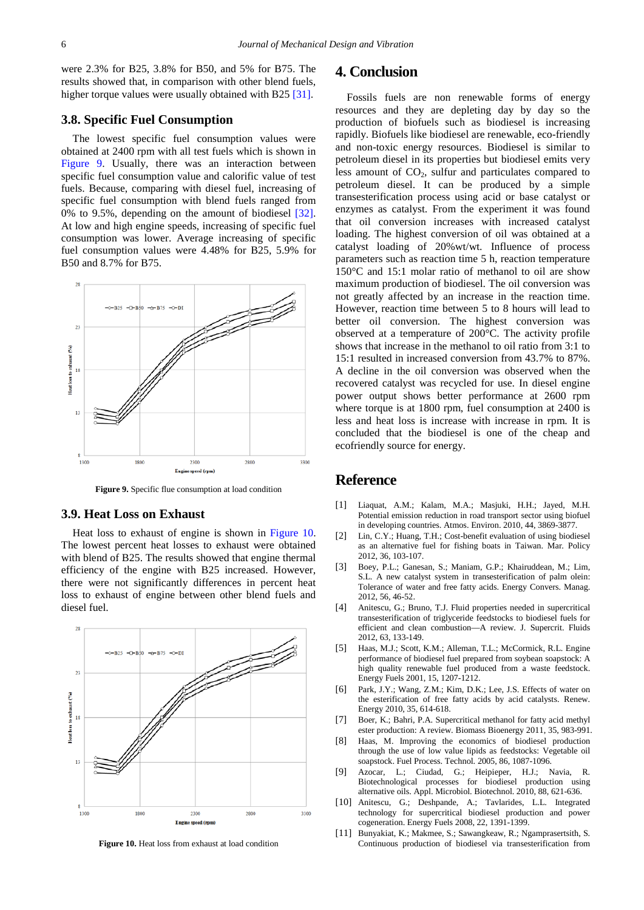were 2.3% for B25, 3.8% for B50, and 5% for B75. The results showed that, in comparison with other blend fuels, higher torque values were usually obtained with B2[5 \[31\].](#page-6-17)

## **3.8. Specific Fuel Consumption**

The lowest specific fuel consumption values were obtained at 2400 rpm with all test fuels which is shown in [Figure 9.](#page-5-9) Usually, there was an interaction between specific fuel consumption value and calorific value of test fuels. Because, comparing with diesel fuel, increasing of specific fuel consumption with blend fuels ranged from 0% to 9.5%, depending on the amount of biodiesel [\[32\].](#page-6-18) At low and high engine speeds, increasing of specific fuel consumption was lower. Average increasing of specific fuel consumption values were 4.48% for B25, 5.9% for B50 and 8.7% for B75.

<span id="page-5-9"></span>

**Figure 9.** Specific flue consumption at load condition

#### **3.9. Heat Loss on Exhaust**

Heat loss to exhaust of engine is shown in [Figure 10.](#page-5-10) The lowest percent heat losses to exhaust were obtained with blend of B25. The results showed that engine thermal efficiency of the engine with B25 increased. However, there were not significantly differences in percent heat loss to exhaust of engine between other blend fuels and diesel fuel.

<span id="page-5-10"></span>

**Figure 10.** Heat loss from exhaust at load condition

## **4. Conclusion**

Fossils fuels are non renewable forms of energy resources and they are depleting day by day so the production of biofuels such as biodiesel is increasing rapidly. Biofuels like biodiesel are renewable, eco-friendly and non-toxic energy resources. Biodiesel is similar to petroleum diesel in its properties but biodiesel emits very less amount of  $CO<sub>2</sub>$ , sulfur and particulates compared to petroleum diesel. It can be produced by a simple transesterification process using acid or base catalyst or enzymes as catalyst. From the experiment it was found that oil conversion increases with increased catalyst loading. The highest conversion of oil was obtained at a catalyst loading of 20%wt/wt. Influence of process parameters such as reaction time 5 h, reaction temperature 150°C and 15:1 molar ratio of methanol to oil are show maximum production of biodiesel. The oil conversion was not greatly affected by an increase in the reaction time. However, reaction time between 5 to 8 hours will lead to better oil conversion. The highest conversion was observed at a temperature of 200°C. The activity profile shows that increase in the methanol to oil ratio from 3:1 to 15:1 resulted in increased conversion from 43.7% to 87%. A decline in the oil conversion was observed when the recovered catalyst was recycled for use. In diesel engine power output shows better performance at 2600 rpm where torque is at 1800 rpm, fuel consumption at 2400 is less and heat loss is increase with increase in rpm. It is concluded that the biodiesel is one of the cheap and ecofriendly source for energy.

# **Reference**

- <span id="page-5-0"></span>[1] Liaquat, A.M.; Kalam, M.A.; Masjuki, H.H.; Jayed, M.H. Potential emission reduction in road transport sector using biofuel in developing countries. Atmos. Environ. 2010, 44, 3869-3877.
- <span id="page-5-1"></span>[2] Lin, C.Y.; Huang, T.H.; Cost-benefit evaluation of using biodiesel as an alternative fuel for fishing boats in Taiwan. Mar. Policy 2012, 36, 103-107.
- [3] Boey, P.L.; Ganesan, S.; Maniam, G.P.; Khairuddean, M.; Lim, S.L. A new catalyst system in transesterification of palm olein: Tolerance of water and free fatty acids. Energy Convers. Manag. 2012, 56, 46-52.
- <span id="page-5-2"></span>[4] Anitescu, G.; Bruno, T.J. Fluid properties needed in supercritical transesterification of triglyceride feedstocks to biodiesel fuels for efficient and clean combustion—A review. J. Supercrit. Fluids 2012, 63, 133-149.
- <span id="page-5-3"></span>[5] Haas, M.J.; Scott, K.M.; Alleman, T.L.; McCormick, R.L. Engine performance of biodiesel fuel prepared from soybean soapstock: A high quality renewable fuel produced from a waste feedstock. Energy Fuels 2001, 15, 1207-1212.
- <span id="page-5-4"></span>[6] Park, J.Y.; Wang, Z.M.; Kim, D.K.; Lee, J.S. Effects of water on the esterification of free fatty acids by acid catalysts. Renew. Energy 2010, 35, 614-618.
- [7] Boer, K.; Bahri, P.A. Supercritical methanol for fatty acid methyl ester production: A review. Biomass Bioenergy 2011, 35, 983-991.
- <span id="page-5-5"></span>[8] Haas, M. Improving the economics of biodiesel production through the use of low value lipids as feedstocks: Vegetable oil soapstock. Fuel Process. Technol. 2005, 86, 1087-1096.
- <span id="page-5-6"></span>[9] Azocar, L.; Ciudad, G.; Heipieper, H.J.; Navia, R. Biotechnological processes for biodiesel production using alternative oils. Appl. Microbiol. Biotechnol. 2010, 88, 621-636.
- <span id="page-5-7"></span>[10] Anitescu, G.; Deshpande, A.; Tavlarides, L.L. Integrated technology for supercritical biodiesel production and power cogeneration. Energy Fuels 2008, 22, 1391-1399.
- <span id="page-5-8"></span>[11] Bunyakiat, K.; Makmee, S.; Sawangkeaw, R.; Ngamprasertsith, S. Continuous production of biodiesel via transesterification from